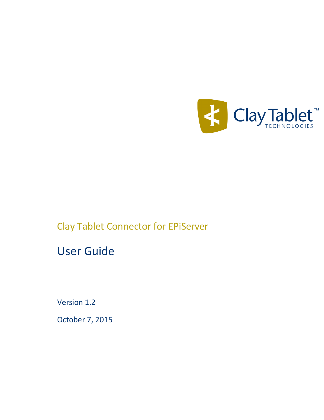

# Clay Tablet Connector for EPiServer

# User Guide

Version 1.2

October 7, 2015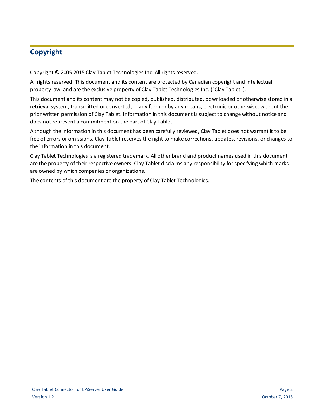# **Copyright**

Copyright © 2005-2015 Clay Tablet Technologies Inc. All rights reserved.

All rights reserved. This document and its content are protected by Canadian copyright and intellectual property law, and are the exclusive property of Clay Tablet Technologies Inc. ("Clay Tablet").

This document and its content may not be copied, published, distributed, downloaded or otherwise stored in a retrieval system, transmitted or converted, in any form or by any means, electronic or otherwise, without the prior written permission of Clay Tablet. Information in this document is subject to change without notice and does not represent a commitment on the part of Clay Tablet.

Although the information in this document has been carefully reviewed, Clay Tablet does not warrant it to be free of errors or omissions. Clay Tablet reserves the right to make corrections, updates, revisions, or changes to the information in this document.

Clay Tablet Technologies is a registered trademark. All other brand and product names used in this document are the property of their respective owners. Clay Tablet disclaims any responsibility for specifying which marks are owned by which companies or organizations.

The contents of this document are the property of Clay Tablet Technologies.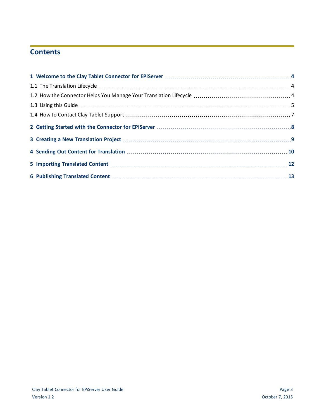# **Contents**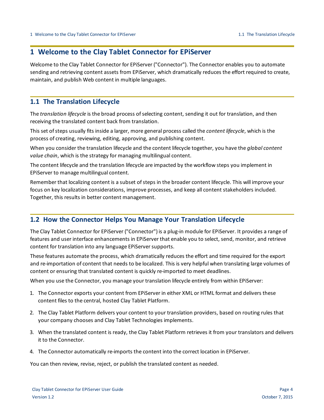### <span id="page-3-0"></span>**1 Welcome to the Clay Tablet Connector for EPiServer**

Welcome to the Clay Tablet Connector for EPiServer ("Connector"). The Connector enables you to automate sending and retrieving content assets from EPiServer, which dramatically reduces the effort required to create, maintain, and publish Web content in multiple languages.

#### <span id="page-3-1"></span>**1.1 The Translation Lifecycle**

The *translation lifecycle* is the broad process ofselecting content, sending it out for translation, and then receiving the translated content back from translation.

This set of steps usually fits inside a larger, more general process called the *content lifecycle*, which is the process of creating, reviewing, editing, approving, and publishing content.

When you consider the translation lifecycle and the content lifecycle together, you have the *global content value chain*, which is the strategy for managing multilingual content.

The content lifecycle and the translation lifecycle are impacted by the workflow steps you implement in EPiServer to manage multilingual content.

Remember that localizing content is a subset of steps in the broader content lifecycle. This will improve your focus on key localization considerations, improve processes, and keep all content stakeholders included. Together, this results in better content management.

#### <span id="page-3-2"></span>**1.2 How the Connector Helps You Manage Your Translation Lifecycle**

The Clay Tablet Connector for EPiServer ("Connector") is a plug-in module for EPiServer. It provides a range of features and user interface enhancements in EPiServer that enable you to select, send, monitor, and retrieve content for translation into any language EPiServer supports.

These features automate the process, which dramatically reduces the effort and time required for the export and re-importation of content that needs to be localized. This is very helpful when translating large volumes of content or ensuring that translated content is quickly re-imported to meet deadlines.

When you use the Connector, you manage your translation lifecycle entirely from within EPiServer:

- 1. The Connector exports your content from EPiServer in either XML or HTML format and delivers these content files to the central, hosted Clay Tablet Platform.
- 2. The Clay Tablet Platform delivers your content to your translation providers, based on routing rules that your company chooses and Clay Tablet Technologies implements.
- 3. When the translated content is ready, the Clay Tablet Platform retrieves it from your translators and delivers it to the Connector.
- 4. The Connector automatically re-imports the content into the correct location in EPiServer.

You can then review, revise, reject, or publish the translated content as needed.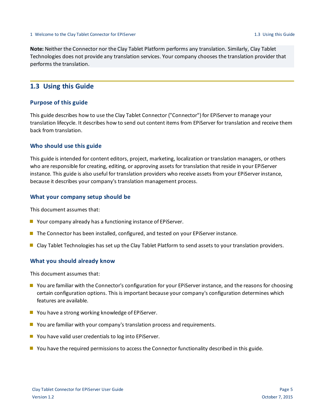**Note:** Neither the Connector nor the Clay Tablet Platform performs any translation. Similarly, Clay Tablet Technologies does not provide any translation services. Your company chooses the translation provider that performs the translation.

#### <span id="page-4-0"></span>**1.3 Using this Guide**

#### **Purpose of this guide**

This guide describes how to use the Clay Tablet Connector ("Connector") for EPiServer to manage your translation lifecycle. It describes how to send out content items from EPiServer for translation and receive them back from translation.

#### **Who should use this guide**

This guide is intended for content editors, project, marketing, localization or translation managers, or others who are responsible for creating, editing, or approving assets for translation that reside in your EPiServer instance. This guide is also useful for translation providers who receive assets from your EPiServer instance, because it describes your company's translation management process.

#### **What your company setup should be**

This document assumes that:

- Your company already has a functioning instance of EPiServer.
- The Connector has been installed, configured, and tested on your EPiServer instance.
- Clay Tablet Technologies has set up the Clay Tablet Platform to send assets to your translation providers.

#### **What you should already know**

This document assumes that:

- You are familiar with the Connector's configuration for your EPiServer instance, and the reasons for choosing certain configuration options. This is important because your company's configuration determines which features are available.
- You have a strong working knowledge of EPiServer.
- **D** You are familiar with your company's translation process and requirements.
- You have valid user credentials to log into EPiServer.
- **D** You have the required permissions to access the Connector functionality described in this guide.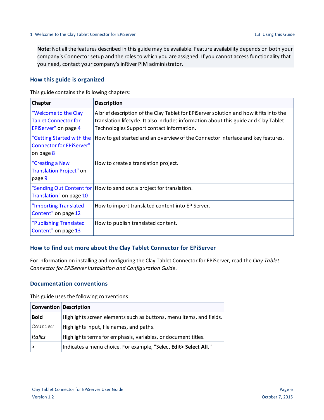**Note:** Not all the features described in this guide may be available. Feature availability depends on both your company's Connector setup and the roles to which you are assigned. If you cannot access functionality that you need, contact your company's inRiver PIM administrator.

#### **How this guide is organized**

This guide contains the following chapters:

| <b>Chapter</b>                                                              | <b>Description</b>                                                                                                                                                                                                          |
|-----------------------------------------------------------------------------|-----------------------------------------------------------------------------------------------------------------------------------------------------------------------------------------------------------------------------|
| "Welcome to the Clay<br><b>Tablet Connector for</b><br>EPiServer" on page 4 | A brief description of the Clay Tablet for EPIServer solution and how it fits into the<br>translation lifecycle. It also includes information about this guide and Clay Tablet<br>Technologies Support contact information. |
| "Getting Started with the<br><b>Connector for EPiServer"</b><br>on page 8   | How to get started and an overview of the Connector interface and key features.                                                                                                                                             |
| "Creating a New<br>Translation Project" on<br>page 9                        | How to create a translation project.                                                                                                                                                                                        |
| Translation" on page 10                                                     | "Sending Out Content for   How to send out a project for translation.                                                                                                                                                       |
| "Importing Translated<br>Content" on page 12                                | How to import translated content into EPiServer.                                                                                                                                                                            |
| "Publishing Translated<br>Content" on page 13                               | How to publish translated content.                                                                                                                                                                                          |

#### **How to find out more about the Clay Tablet Connector for EPiServer**

For information on installing and configuring the Clay Tablet Connector for EPiServer, read the *Clay Tablet Connector for EPiServer Installation and Configuration Guide*.

#### **Documentation conventions**

This guide uses the following conventions:

| <b>Convention Description</b> |                                                                     |
|-------------------------------|---------------------------------------------------------------------|
| <b>Bold</b>                   | Highlights screen elements such as buttons, menu items, and fields. |
| Courier                       | Highlights input, file names, and paths.                            |
| Italics                       | Highlights terms for emphasis, variables, or document titles.       |
|                               | Indicates a menu choice. For example, "Select Edit> Select All."    |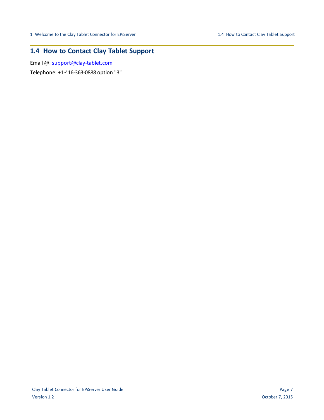# <span id="page-6-0"></span>**1.4 How to Contact Clay Tablet Support**

Email @: [support@clay-tablet.com](mailto:support@clay-tablet.com)

Telephone: +1-416-363-0888 option "3"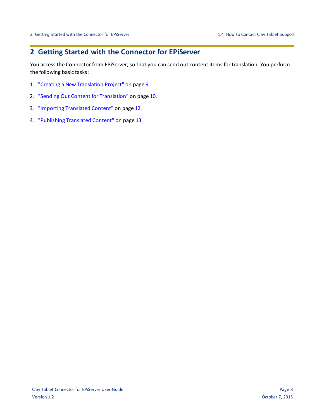## <span id="page-7-0"></span>**2 Getting Started with the Connector for EPiServer**

You access the Connector from EPiServer, so that you can send out content items for translation. You perform the following basic tasks:

- 1. "Creating a New [Translation](#page-8-0) Project" on page 9.
- 2. "Sending Out Content for [Translation"](#page-9-0) on page 10.
- 3. ["Importing](#page-11-0) Translated Content" on page 12.
- 4. ["Publishing](#page-12-0) Translated Content" on page 13.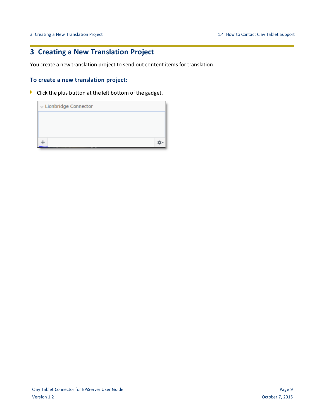# <span id="page-8-0"></span>**3 Creating a New Translation Project**

You create a new translation project to send out content items for translation.

#### **To create a new translation project:**

**Click the plus button at the left bottom of the gadget.** 

| $\vee$ Lionbridge Connector |  |
|-----------------------------|--|
|                             |  |
|                             |  |
|                             |  |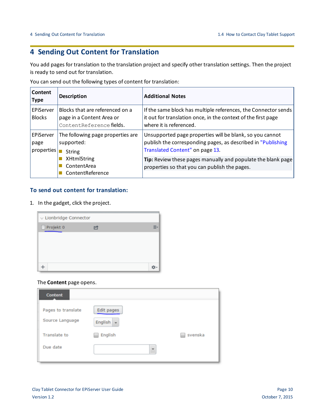# <span id="page-9-0"></span>**4 Sending Out Content for Translation**

You add pages for translation to the translation project and specify other translation settings. Then the project is ready to send out for translation.

You can send out the following types of content for translation:

| Content<br><b>Type</b>           | <b>Description</b>                                                                       | <b>Additional Notes</b>                                                                                                                                     |
|----------------------------------|------------------------------------------------------------------------------------------|-------------------------------------------------------------------------------------------------------------------------------------------------------------|
| EPiServer<br><b>Blocks</b>       | Blocks that are referenced on a<br>page in a Content Area or<br>ContentReference fields. | If the same block has multiple references, the Connector sends<br>it out for translation once, in the context of the first page<br>where it is referenced.  |
| EPiServer<br>page<br>poroperties | The following page properties are<br>supported:<br>String                                | Unsupported page properties will be blank, so you cannot<br>publish the corresponding pages, as described in "Publishing<br>Translated Content" on page 13. |
|                                  | <b>XHtmlString</b><br>ContentArea<br>ContentReference                                    | Tip: Review these pages manually and populate the blank page<br>properties so that you can publish the pages.                                               |

#### **To send out content for translation:**

1. In the gadget, click the project.

| $\vee$ Lionbridge Connector |  |
|-----------------------------|--|
| $\Box$ Projekt 0            |  |
|                             |  |
|                             |  |
|                             |  |
|                             |  |

#### The **Content** page opens.

| <b>Content</b>      |                          |         |
|---------------------|--------------------------|---------|
| Pages to translate  | Edit pages               |         |
| Source Language     | English<br>$\bullet$     |         |
| <b>Translate to</b> | English                  | svenska |
| Due date            | $\overline{\phantom{a}}$ |         |
|                     |                          |         |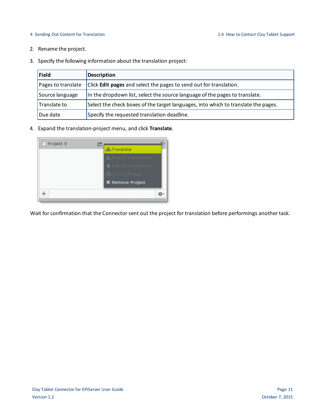#### 4 Sending Out Content for Translation 1.4 How to Contact Clay Tablet Support

- 2. Rename the project.
- 3. Specify the following information about the translation project:

| <b>Field</b>       | <b>Description</b>                                                                 |
|--------------------|------------------------------------------------------------------------------------|
| Pages to translate | Click <b>Edit pages</b> and select the pages to send out for translation.          |
| Source language    | In the dropdown list, select the source language of the pages to translate.        |
| Translate to       | Select the check boxes of the target languages, into which to translate the pages. |
| Due date           | Specify the requested translation deadline.                                        |

4. Expand the translation-project menu, and click **Translate**.

| <b>上 Translate</b>              |
|---------------------------------|
| $\star$ . Import translations   |
| <b>The Publish translations</b> |
| Cancel Project                  |
| <b>X</b> Remove Project         |
|                                 |
|                                 |

Wait for confirmation that the Connector sent out the project for translation before performings another task.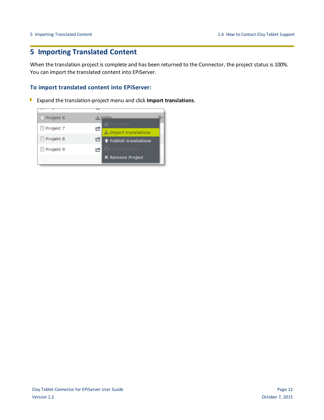## <span id="page-11-0"></span>**5 Importing Translated Content**

When the translation project is complete and has been returned to the Connector, the project status is 100%. You can import the translated content into EPiServer.

#### **To import translated content into EPiServer:**

Expand the translation-project menu and click **Import translations**. ъ.